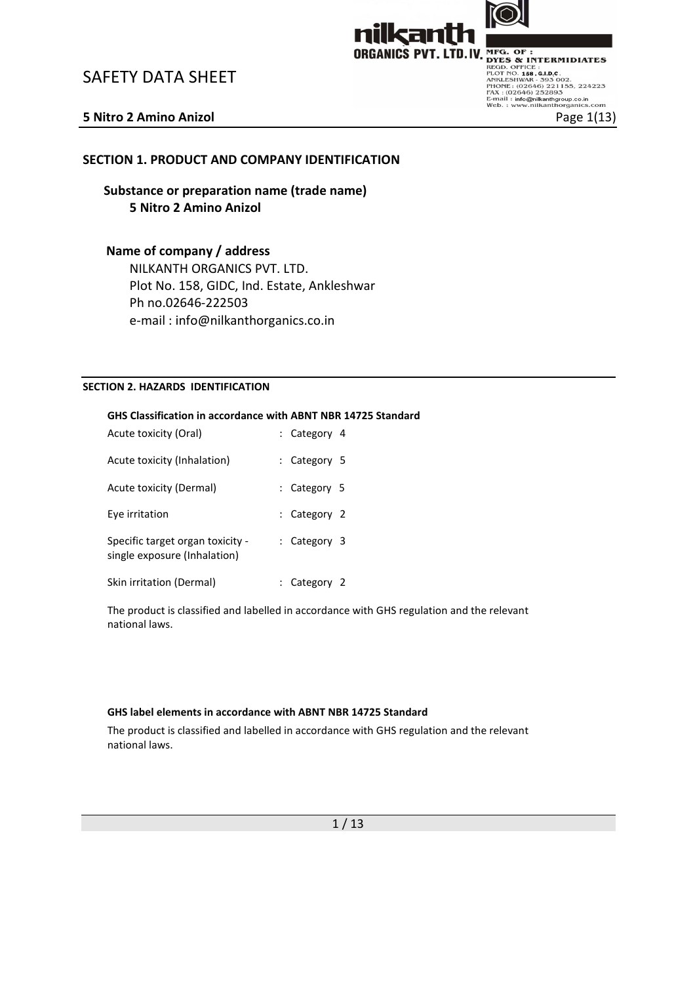



**SAFETY DATA SHEET**<br>
SAFETY DATA SHEET<br>
SAFETY DATA SHEET<br>
SAFETY DATA SHEET<br>
SAFETY DATA SHEET<br>
SAFETY DATA SHEET<br>
ANKLISS PUT. LTD.IV. MFG. OF :<br>
PROGRAMICS PUT. LTD.IV. MFG. OF :<br>
PROGRAMICS PUT. LTD.IV. OF SAFT OR SOBO

## SECTION 1. PRODUCT AND COMPANY IDENTIFICATION

Substance or preparation name (trade name) 5 Nitro 2 Amino Anizol

## Name of company / address

NILKANTH ORGANICS PVT. LTD. Plot No. 158, GIDC, Ind. Estate, Ankleshwar Ph no.02646-222503 e-mail : info@nilkanthorganics.co.in

### SECTION 2. HAZARDS IDENTIFICATION

### GHS Classification in accordance with ABNT NBR 14725 Standard

| Acute toxicity (Oral)                                            | : Category 4 |  |
|------------------------------------------------------------------|--------------|--|
| Acute toxicity (Inhalation)                                      | : Category 5 |  |
| Acute toxicity (Dermal)                                          | : Category 5 |  |
| Eye irritation                                                   | : Category 2 |  |
| Specific target organ toxicity -<br>single exposure (Inhalation) | : Category 3 |  |
| Skin irritation (Dermal)                                         | Category 2   |  |

The product is classified and labelled in accordance with GHS regulation and the relevant national laws.

### GHS label elements in accordance with ABNT NBR 14725 Standard

The product is classified and labelled in accordance with GHS regulation and the relevant national laws.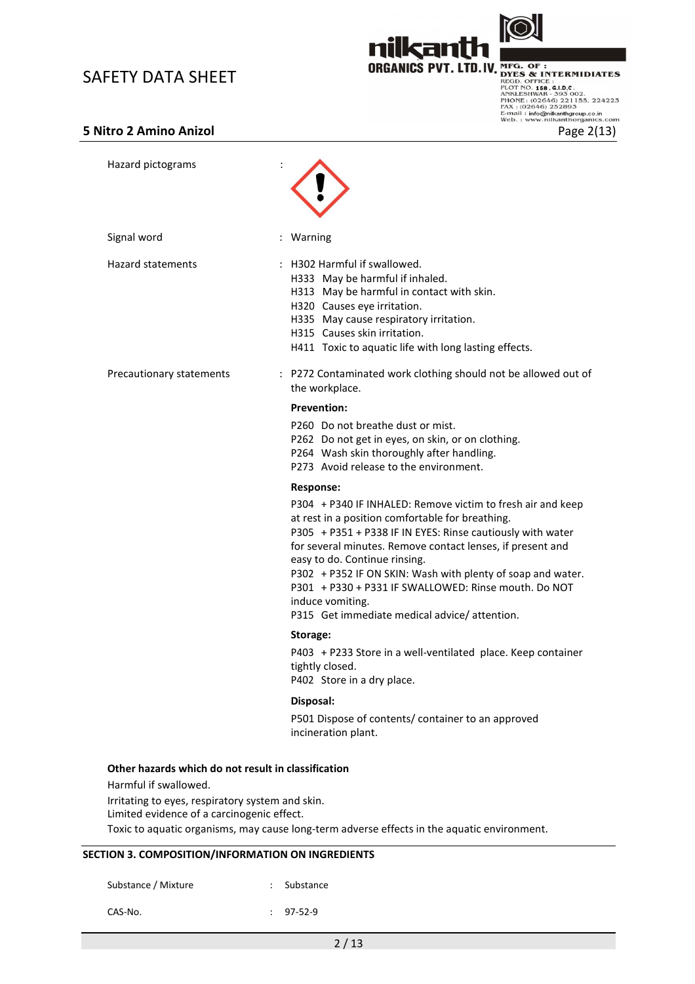

nil

**SAFETY DATA SHEET**<br>
SAFETY DATA SHEET<br>
SAFETY DATA SHEET<br>
TAXEL SEED. OF SURGANICS PVT. LTD.IV. NEG. OF S. S. AD.C.<br>
PLOTE: (O2646) 221155, 224223<br>
PAGE 202646) 221155, 224223<br>
FAX: (O2646) 221155, 224223<br>
FAX: (O2646) 2

| Hazard pictograms                                                                                                                |                                                                                                                                                                                                                                                                                                                                                                                                                                                                         |
|----------------------------------------------------------------------------------------------------------------------------------|-------------------------------------------------------------------------------------------------------------------------------------------------------------------------------------------------------------------------------------------------------------------------------------------------------------------------------------------------------------------------------------------------------------------------------------------------------------------------|
| Signal word                                                                                                                      | : Warning                                                                                                                                                                                                                                                                                                                                                                                                                                                               |
| <b>Hazard statements</b>                                                                                                         | : H302 Harmful if swallowed.<br>H333 May be harmful if inhaled.<br>H313 May be harmful in contact with skin.<br>H320 Causes eye irritation.<br>H335 May cause respiratory irritation.<br>H315 Causes skin irritation.<br>H411 Toxic to aquatic life with long lasting effects.                                                                                                                                                                                          |
| Precautionary statements                                                                                                         | : P272 Contaminated work clothing should not be allowed out of<br>the workplace.                                                                                                                                                                                                                                                                                                                                                                                        |
|                                                                                                                                  | <b>Prevention:</b>                                                                                                                                                                                                                                                                                                                                                                                                                                                      |
|                                                                                                                                  | P260 Do not breathe dust or mist.<br>P262 Do not get in eyes, on skin, or on clothing.<br>P264 Wash skin thoroughly after handling.<br>P273 Avoid release to the environment.                                                                                                                                                                                                                                                                                           |
|                                                                                                                                  | <b>Response:</b>                                                                                                                                                                                                                                                                                                                                                                                                                                                        |
|                                                                                                                                  | P304 + P340 IF INHALED: Remove victim to fresh air and keep<br>at rest in a position comfortable for breathing.<br>P305 + P351 + P338 IF IN EYES: Rinse cautiously with water<br>for several minutes. Remove contact lenses, if present and<br>easy to do. Continue rinsing.<br>P302 + P352 IF ON SKIN: Wash with plenty of soap and water.<br>P301 + P330 + P331 IF SWALLOWED: Rinse mouth. Do NOT<br>induce vomiting.<br>P315 Get immediate medical advice/attention. |
|                                                                                                                                  | Storage:                                                                                                                                                                                                                                                                                                                                                                                                                                                                |
|                                                                                                                                  | P403 + P233 Store in a well-ventilated place. Keep container<br>tightly closed.<br>P402 Store in a dry place.                                                                                                                                                                                                                                                                                                                                                           |
|                                                                                                                                  | Disposal:                                                                                                                                                                                                                                                                                                                                                                                                                                                               |
|                                                                                                                                  | P501 Dispose of contents/ container to an approved<br>incineration plant.                                                                                                                                                                                                                                                                                                                                                                                               |
| Other hazards which do not result in classification<br>Harmful if swallowed.<br>Irritating to eyes, respiratory system and skin. |                                                                                                                                                                                                                                                                                                                                                                                                                                                                         |

Limited evidence of a carcinogenic effect.

Toxic to aquatic organisms, may cause long-term adverse effects in the aquatic environment.

## SECTION 3. COMPOSITION/INFORMATION ON INGREDIENTS

Substance / Mixture : Substance

CAS-No. : 97-52-9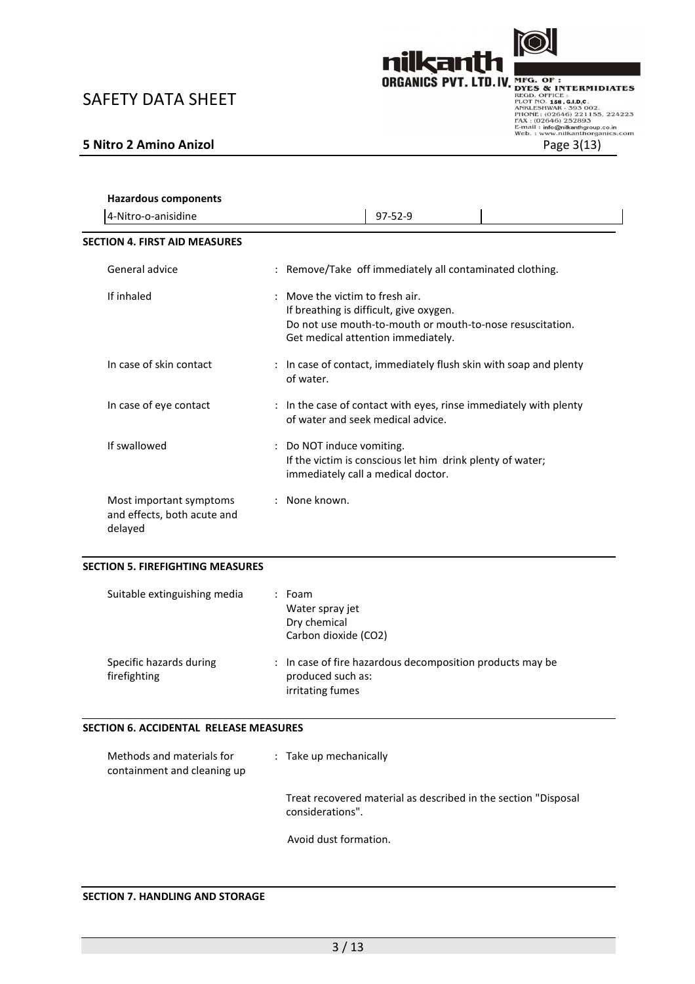

| <b>Hazardous components</b><br>4-Nitro-o-anisidine                | $97 - 52 - 9$                                                                                                                                                                 |
|-------------------------------------------------------------------|-------------------------------------------------------------------------------------------------------------------------------------------------------------------------------|
| <b>SECTION 4. FIRST AID MEASURES</b>                              |                                                                                                                                                                               |
| General advice                                                    | : Remove/Take off immediately all contaminated clothing.                                                                                                                      |
| If inhaled                                                        | : Move the victim to fresh air.<br>If breathing is difficult, give oxygen.<br>Do not use mouth-to-mouth or mouth-to-nose resuscitation.<br>Get medical attention immediately. |
| In case of skin contact                                           | : In case of contact, immediately flush skin with soap and plenty<br>of water.                                                                                                |
| In case of eye contact                                            | : In the case of contact with eyes, rinse immediately with plenty<br>of water and seek medical advice.                                                                        |
| If swallowed                                                      | : Do NOT induce vomiting.<br>If the victim is conscious let him drink plenty of water;<br>immediately call a medical doctor.                                                  |
| Most important symptoms<br>and effects, both acute and<br>delayed | : None known.                                                                                                                                                                 |
| <b>SECTION 5. FIREFIGHTING MEASURES</b>                           |                                                                                                                                                                               |
| Suitable extinguishing media                                      | $:$ Foam<br>Water spray jet<br>Dry chemical<br>Carbon dioxide (CO2)                                                                                                           |
| Specific hazards during<br>firefighting                           | : In case of fire hazardous decomposition products may be<br>produced such as:<br>irritating fumes                                                                            |
| SECTION 6. ACCIDENTAL RELEASE MEASURES                            |                                                                                                                                                                               |
| Methods and materials for<br>containment and cleaning up          | : Take up mechanically                                                                                                                                                        |
|                                                                   | Treat recovered material as described in the section "Disposal<br>considerations".                                                                                            |

Avoid dust formation.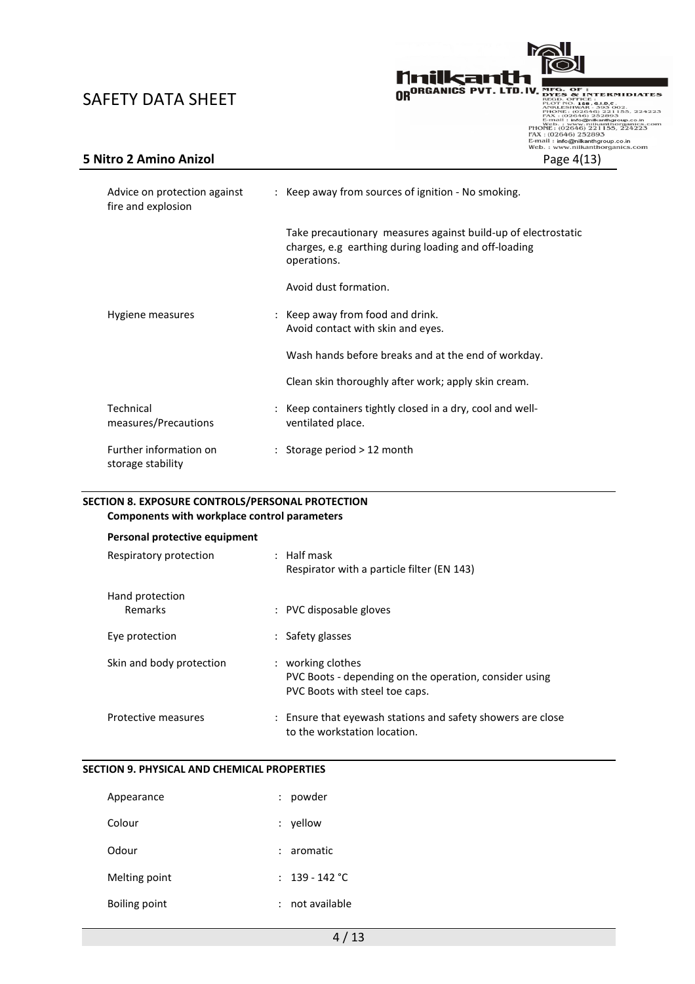

| Advice on protection against<br>fire and explosion | : Keep away from sources of ignition - No smoking.                                                                                   |
|----------------------------------------------------|--------------------------------------------------------------------------------------------------------------------------------------|
|                                                    | Take precautionary measures against build-up of electrostatic<br>charges, e.g earthing during loading and off-loading<br>operations. |
|                                                    | Avoid dust formation.                                                                                                                |
| Hygiene measures                                   | : Keep away from food and drink.<br>Avoid contact with skin and eyes.                                                                |
|                                                    | Wash hands before breaks and at the end of workday.                                                                                  |
|                                                    | Clean skin thoroughly after work; apply skin cream.                                                                                  |
| Technical<br>measures/Precautions                  | : Keep containers tightly closed in a dry, cool and well-<br>ventilated place.                                                       |
| Further information on<br>storage stability        | : Storage period $>12$ month                                                                                                         |

### SECTION 8. EXPOSURE CONTROLS/PERSONAL PROTECTION Components with workplace control parameters

| Personal protective equipment     |                                                                                                               |
|-----------------------------------|---------------------------------------------------------------------------------------------------------------|
| Respiratory protection            | $:$ Half mask<br>Respirator with a particle filter (EN 143)                                                   |
| Hand protection<br><b>Remarks</b> | : PVC disposable gloves                                                                                       |
| Eye protection                    | : Safety glasses                                                                                              |
| Skin and body protection          | : working clothes<br>PVC Boots - depending on the operation, consider using<br>PVC Boots with steel toe caps. |
| Protective measures               | : Ensure that eyewash stations and safety showers are close<br>to the workstation location.                   |

### SECTION 9. PHYSICAL AND CHEMICAL PROPERTIES

| Appearance    | : powder         |
|---------------|------------------|
| Colour        | $:$ yellow       |
| Odour         | $: a$ romatic    |
| Melting point | : $139 - 142$ °C |
| Boiling point | not available    |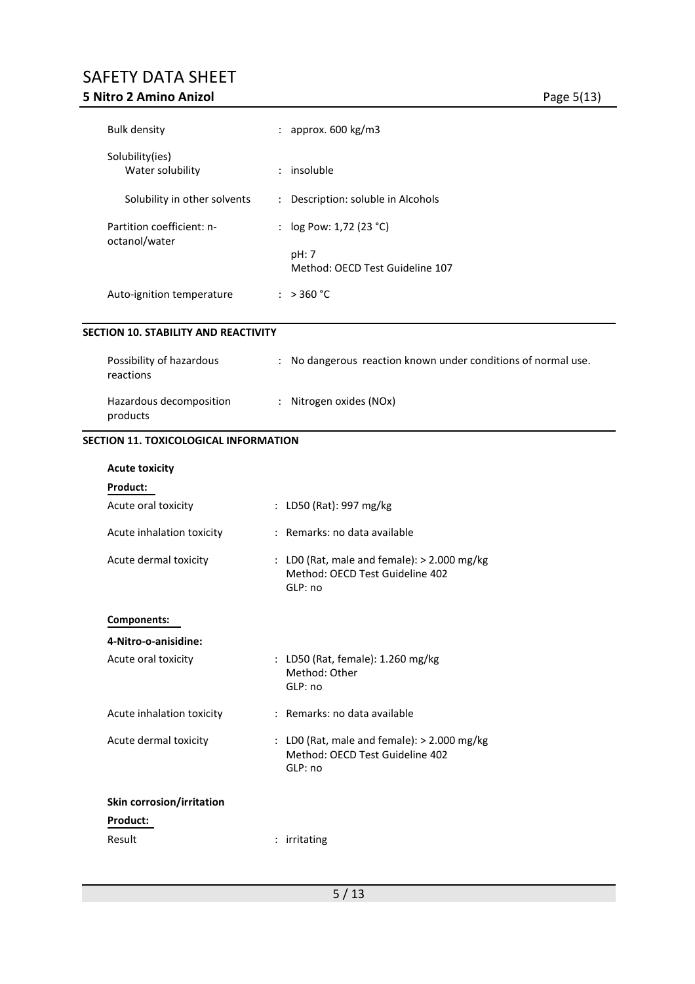## SAFETY DATA SHEET 5 Nitro 2 Amino Anizol **Figure 2 Amino Anizol** Page 5(13)

| <b>Bulk density</b>                        | : approx. $600 \text{ kg/m3}$                                                             |
|--------------------------------------------|-------------------------------------------------------------------------------------------|
| Solubility(ies)<br>Water solubility        | : insoluble                                                                               |
| Solubility in other solvents               | : Description: soluble in Alcohols                                                        |
| Partition coefficient: n-<br>octanol/water | : log Pow: 1,72 (23 °C)<br>pH: 7                                                          |
|                                            | Method: OECD Test Guideline 107                                                           |
| Auto-ignition temperature                  | : >360 °C                                                                                 |
| SECTION 10. STABILITY AND REACTIVITY       |                                                                                           |
| Possibility of hazardous<br>reactions      | : No dangerous reaction known under conditions of normal use.                             |
| Hazardous decomposition<br>products        | : Nitrogen oxides (NOx)                                                                   |
| SECTION 11. TOXICOLOGICAL INFORMATION      |                                                                                           |
| <b>Acute toxicity</b>                      |                                                                                           |
| Product:                                   |                                                                                           |
| Acute oral toxicity                        | : LD50 (Rat): 997 mg/kg                                                                   |
| Acute inhalation toxicity                  | : Remarks: no data available                                                              |
| Acute dermal toxicity                      | : LD0 (Rat, male and female): > 2.000 mg/kg<br>Method: OECD Test Guideline 402<br>GLP: no |
| <b>Components:</b>                         |                                                                                           |
| 4-Nitro-o-anisidine:                       |                                                                                           |
| Acute oral toxicity                        | : LD50 (Rat, female): 1.260 mg/kg<br>Method: Other<br>GLP: no                             |
| Acute inhalation toxicity                  | : Remarks: no data available                                                              |
| Acute dermal toxicity                      | : LDO (Rat, male and female): > 2.000 mg/kg<br>Method: OECD Test Guideline 402<br>GLP: no |
| Skin corrosion/irritation                  |                                                                                           |
| Product:                                   |                                                                                           |
| Result                                     | : irritating                                                                              |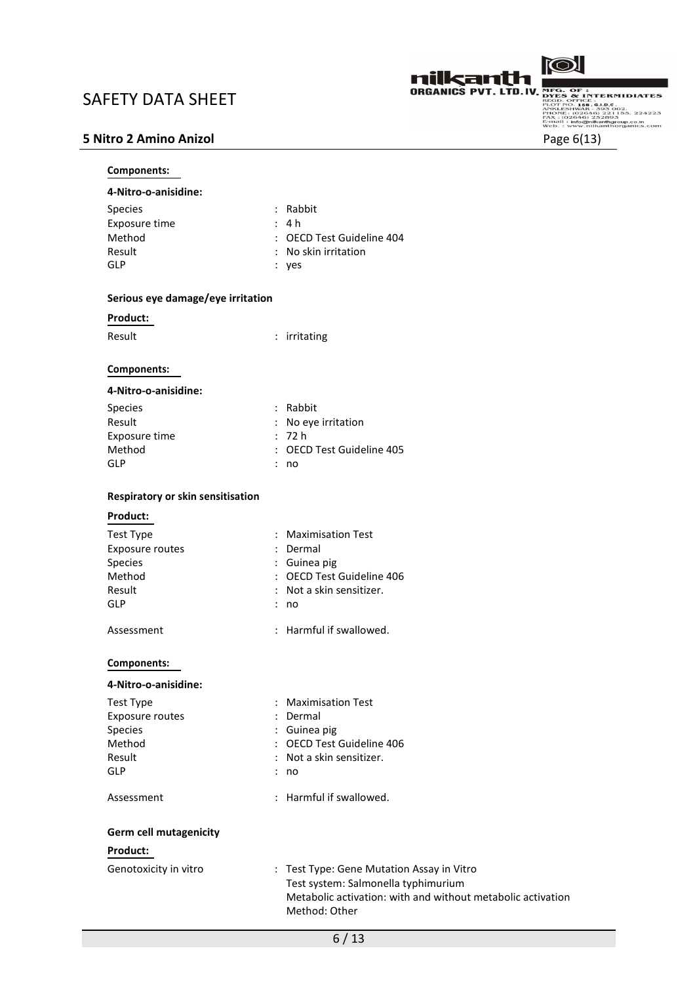

SAFETY DATA SHEET<br>
SAFETY DATA SHEET<br>
S Nitro 2 Amino Anizol Page 6(13)

4-Nitro-o-anisidine:

Components:

| Species<br>Exposure time          | : Rabbit<br>4 h                                                              |
|-----------------------------------|------------------------------------------------------------------------------|
| Method                            | : OECD Test Guideline 404                                                    |
| Result                            | : No skin irritation                                                         |
| <b>GLP</b>                        | $:$ yes                                                                      |
| Serious eye damage/eye irritation |                                                                              |
| Product:                          |                                                                              |
| Result                            | : irritating                                                                 |
| <b>Components:</b>                |                                                                              |
| 4-Nitro-o-anisidine:              |                                                                              |
| <b>Species</b>                    | : Rabbit                                                                     |
| Result                            | : No eye irritation                                                          |
| Exposure time                     | : 72h                                                                        |
| Method                            | : OECD Test Guideline 405                                                    |
| <b>GLP</b>                        | : no                                                                         |
| Respiratory or skin sensitisation |                                                                              |
| Product:                          |                                                                              |
| Test Type                         | : Maximisation Test                                                          |
| Exposure routes                   | : Dermal                                                                     |
| Species                           | : Guinea pig                                                                 |
| Method                            | : OECD Test Guideline 406                                                    |
| Result                            | : Not a skin sensitizer.                                                     |
| GLP                               | : no                                                                         |
| Assessment                        | : Harmful if swallowed.                                                      |
| Components:                       |                                                                              |
| 4-Nitro-o-anisidine:              |                                                                              |
| <b>Test Type</b>                  | : Maximisation Test                                                          |
| <b>Exposure routes</b>            | : Dermal                                                                     |
| Species                           | Guinea pig                                                                   |
| Method                            | <b>OECD Test Guideline 406</b>                                               |
| Result                            | Not a skin sensitizer.                                                       |
| <b>GLP</b>                        | : no                                                                         |
| Assessment                        | : Harmful if swallowed.                                                      |
| <b>Germ cell mutagenicity</b>     |                                                                              |
| Product:                          |                                                                              |
| Genotoxicity in vitro             | : Test Type: Gene Mutation Assay in Vitro                                    |
|                                   | Test system: Salmonella typhimurium                                          |
|                                   | Metabolic activation: with and without metabolic activation<br>Method: Other |
|                                   |                                                                              |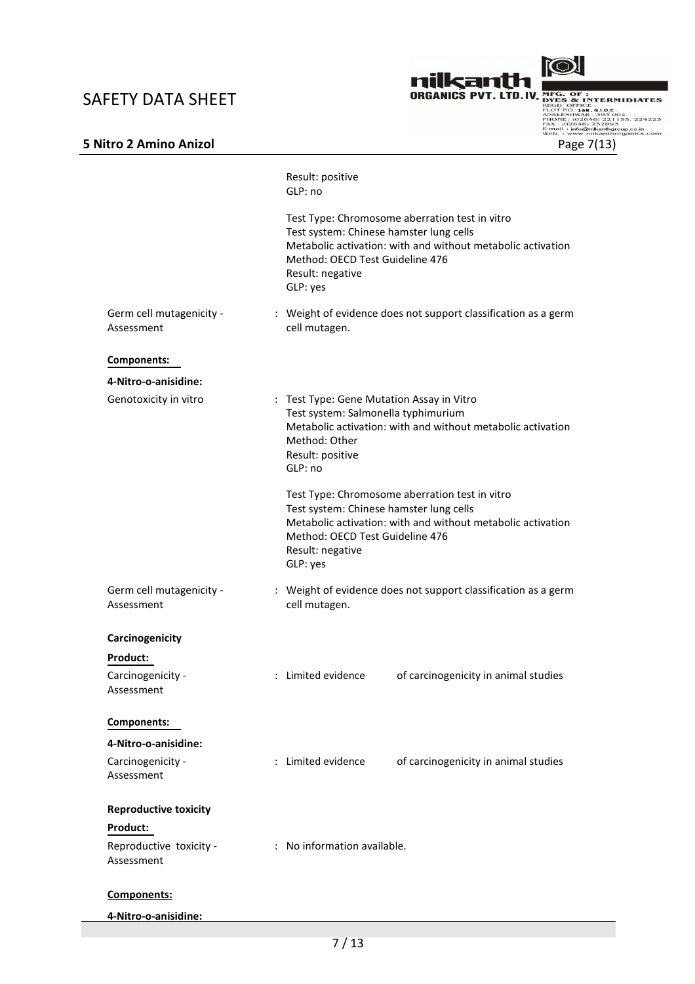

|                                        | Result: positive<br>GLP: no                                                                                                                                                                                                 |
|----------------------------------------|-----------------------------------------------------------------------------------------------------------------------------------------------------------------------------------------------------------------------------|
|                                        | Test Type: Chromosome aberration test in vitro<br>Test system: Chinese hamster lung cells<br>Metabolic activation: with and without metabolic activation<br>Method: OECD Test Guideline 476<br>Result: negative<br>GLP: yes |
| Germ cell mutagenicity -<br>Assessment | : Weight of evidence does not support classification as a germ<br>cell mutagen.                                                                                                                                             |
| Components:                            |                                                                                                                                                                                                                             |
| 4-Nitro-o-anisidine:                   |                                                                                                                                                                                                                             |
| Genotoxicity in vitro                  | : Test Type: Gene Mutation Assay in Vitro<br>Test system: Salmonella typhimurium<br>Metabolic activation: with and without metabolic activation<br>Method: Other<br>Result: positive<br>GLP: no                             |
|                                        | Test Type: Chromosome aberration test in vitro<br>Test system: Chinese hamster lung cells<br>Metabolic activation: with and without metabolic activation<br>Method: OECD Test Guideline 476<br>Result: negative<br>GLP: yes |
| Germ cell mutagenicity -<br>Assessment | : Weight of evidence does not support classification as a germ<br>cell mutagen.                                                                                                                                             |
| Carcinogenicity                        |                                                                                                                                                                                                                             |
| Product:                               |                                                                                                                                                                                                                             |
| Carcinogenicity -<br>Assessment        | : Limited evidence<br>of carcinogenicity in animal studies                                                                                                                                                                  |
| Components:                            |                                                                                                                                                                                                                             |
| 4-Nitro-o-anisidine:                   |                                                                                                                                                                                                                             |
| Carcinogenicity -<br>Assessment        | : Limited evidence<br>of carcinogenicity in animal studies                                                                                                                                                                  |
| <b>Reproductive toxicity</b>           |                                                                                                                                                                                                                             |
| Product:                               |                                                                                                                                                                                                                             |
| Reproductive toxicity -<br>Assessment  | : No information available.                                                                                                                                                                                                 |
| Components:                            |                                                                                                                                                                                                                             |
|                                        |                                                                                                                                                                                                                             |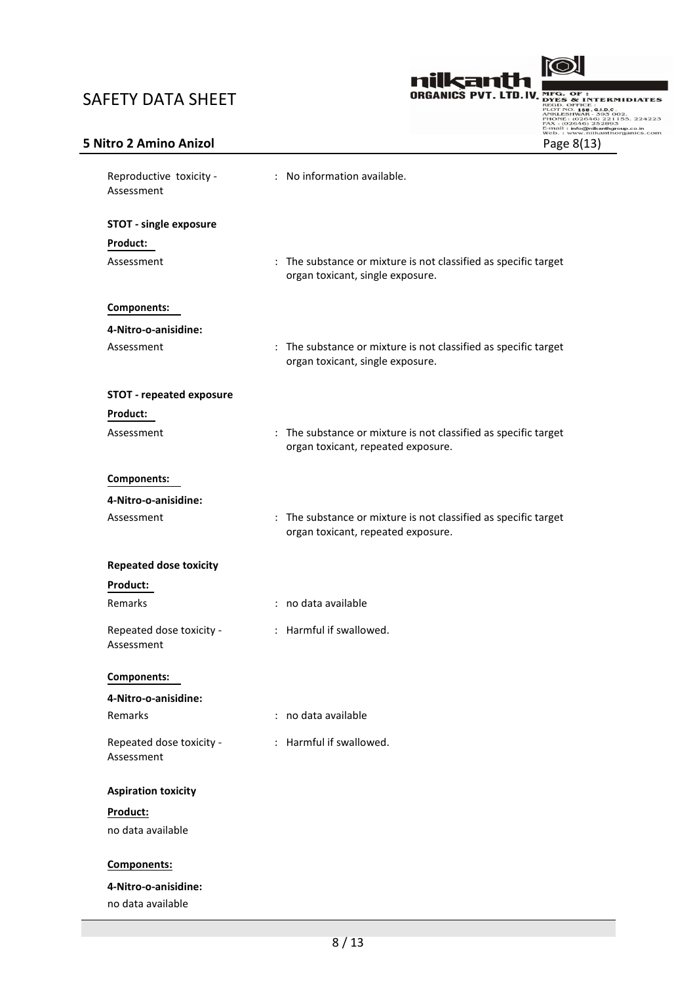

| Reproductive toxicity -<br>Assessment  | : No information available.                                                                           |
|----------------------------------------|-------------------------------------------------------------------------------------------------------|
| <b>STOT - single exposure</b>          |                                                                                                       |
| Product:                               |                                                                                                       |
| Assessment                             | : The substance or mixture is not classified as specific target<br>organ toxicant, single exposure.   |
| Components:                            |                                                                                                       |
| 4-Nitro-o-anisidine:                   |                                                                                                       |
| Assessment                             | : The substance or mixture is not classified as specific target<br>organ toxicant, single exposure.   |
| <b>STOT - repeated exposure</b>        |                                                                                                       |
| Product:                               |                                                                                                       |
| Assessment                             | : The substance or mixture is not classified as specific target<br>organ toxicant, repeated exposure. |
| Components:                            |                                                                                                       |
| 4-Nitro-o-anisidine:                   |                                                                                                       |
| Assessment                             | : The substance or mixture is not classified as specific target<br>organ toxicant, repeated exposure. |
| <b>Repeated dose toxicity</b>          |                                                                                                       |
| Product:                               |                                                                                                       |
| Remarks                                | : no data available                                                                                   |
| Repeated dose toxicity -<br>Assessment | : Harmful if swallowed.                                                                               |
| Components:                            |                                                                                                       |
| 4-Nitro-o-anisidine:                   |                                                                                                       |
| Remarks                                | : no data available                                                                                   |
| Repeated dose toxicity -<br>Assessment | : Harmful if swallowed.                                                                               |
| <b>Aspiration toxicity</b>             |                                                                                                       |
| Product:                               |                                                                                                       |
| no data available                      |                                                                                                       |
| Components:                            |                                                                                                       |
| 4-Nitro-o-anisidine:                   |                                                                                                       |
| no data available                      |                                                                                                       |
|                                        |                                                                                                       |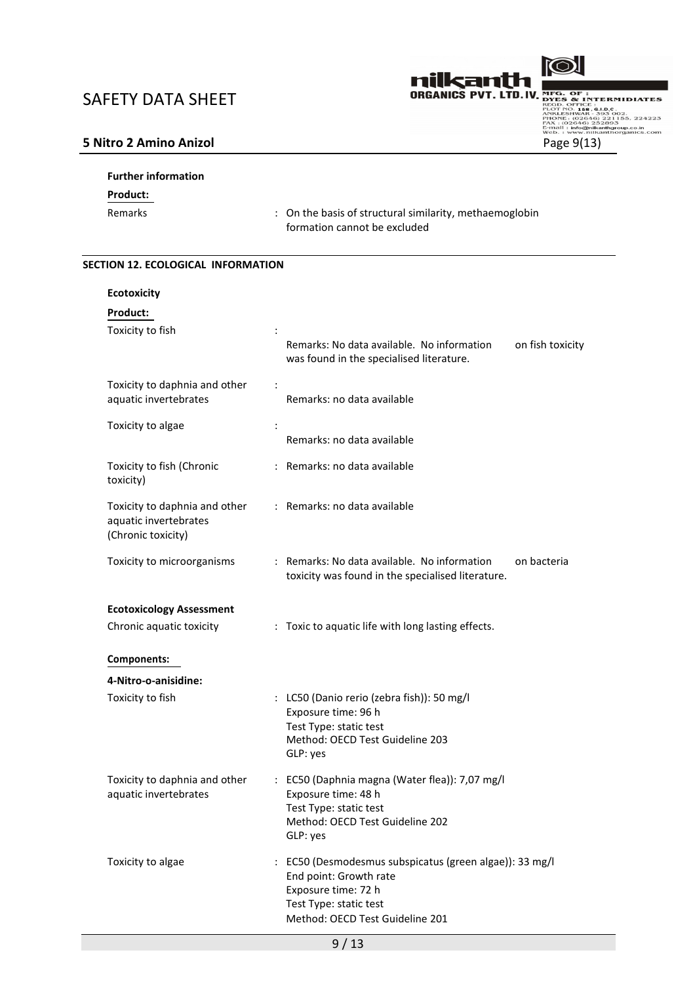

# Further information Product: Remarks **Example 20** control of structural similarity, methaemoglobin formation cannot be excluded

# SECTION 12. ECOLOGICAL INFORMATION

| <b>Ecotoxicity</b>                                                           |                                                                                                                                                                       |
|------------------------------------------------------------------------------|-----------------------------------------------------------------------------------------------------------------------------------------------------------------------|
| Product:                                                                     |                                                                                                                                                                       |
| Toxicity to fish                                                             | Remarks: No data available. No information<br>on fish toxicity<br>was found in the specialised literature.                                                            |
| Toxicity to daphnia and other<br>aquatic invertebrates                       | $\ddot{\cdot}$<br>Remarks: no data available                                                                                                                          |
| Toxicity to algae                                                            | Remarks: no data available                                                                                                                                            |
| Toxicity to fish (Chronic<br>toxicity)                                       | : Remarks: no data available                                                                                                                                          |
| Toxicity to daphnia and other<br>aquatic invertebrates<br>(Chronic toxicity) | : Remarks: no data available                                                                                                                                          |
| Toxicity to microorganisms                                                   | : Remarks: No data available. No information<br>on bacteria<br>toxicity was found in the specialised literature.                                                      |
| <b>Ecotoxicology Assessment</b>                                              |                                                                                                                                                                       |
| Chronic aquatic toxicity                                                     | : Toxic to aquatic life with long lasting effects.                                                                                                                    |
| Components:                                                                  |                                                                                                                                                                       |
| 4-Nitro-o-anisidine:                                                         |                                                                                                                                                                       |
| Toxicity to fish                                                             | : LC50 (Danio rerio (zebra fish)): 50 mg/l<br>Exposure time: 96 h<br>Test Type: static test<br>Method: OECD Test Guideline 203<br>GLP: yes                            |
| Toxicity to daphnia and other<br>aquatic invertebrates                       | : EC50 (Daphnia magna (Water flea)): 7,07 mg/l<br>Exposure time: 48 h<br>Test Type: static test<br>Method: OECD Test Guideline 202<br>GLP: yes                        |
| Toxicity to algae                                                            | : EC50 (Desmodesmus subspicatus (green algae)): 33 mg/l<br>End point: Growth rate<br>Exposure time: 72 h<br>Test Type: static test<br>Method: OECD Test Guideline 201 |

9 / 13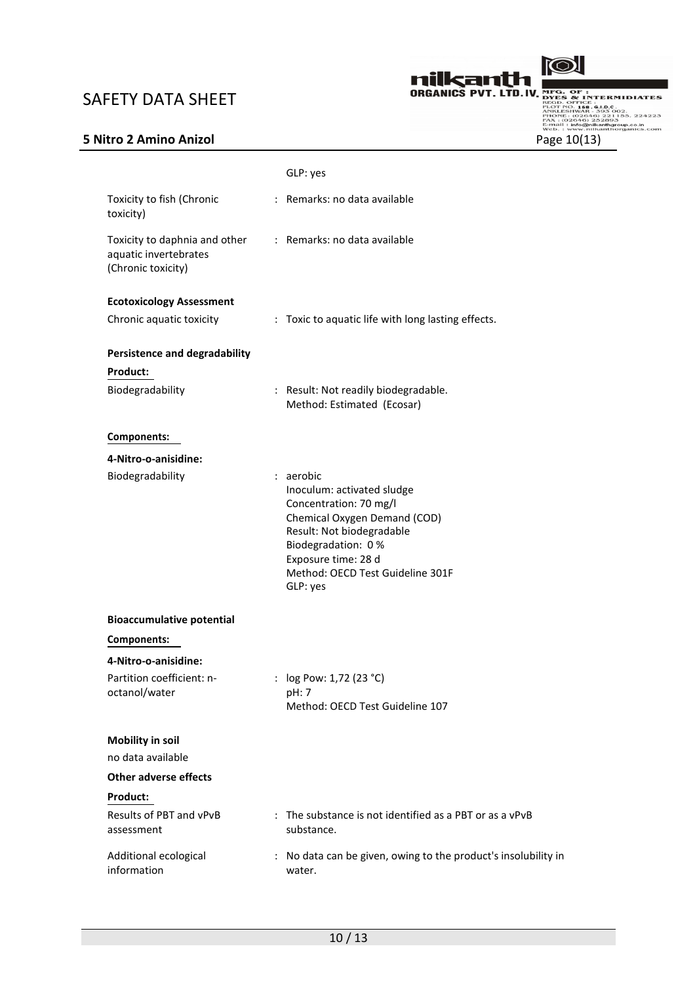

|                                                                              | GLP: yes                                                                                                                                                                                                                    |
|------------------------------------------------------------------------------|-----------------------------------------------------------------------------------------------------------------------------------------------------------------------------------------------------------------------------|
| Toxicity to fish (Chronic<br>toxicity)                                       | : Remarks: no data available                                                                                                                                                                                                |
| Toxicity to daphnia and other<br>aquatic invertebrates<br>(Chronic toxicity) | : Remarks: no data available                                                                                                                                                                                                |
| <b>Ecotoxicology Assessment</b>                                              |                                                                                                                                                                                                                             |
| Chronic aquatic toxicity                                                     | : Toxic to aquatic life with long lasting effects.                                                                                                                                                                          |
| <b>Persistence and degradability</b>                                         |                                                                                                                                                                                                                             |
| Product:                                                                     |                                                                                                                                                                                                                             |
| Biodegradability                                                             | : Result: Not readily biodegradable.<br>Method: Estimated (Ecosar)                                                                                                                                                          |
| Components:                                                                  |                                                                                                                                                                                                                             |
| 4-Nitro-o-anisidine:                                                         |                                                                                                                                                                                                                             |
| Biodegradability                                                             | : aerobic<br>Inoculum: activated sludge<br>Concentration: 70 mg/l<br>Chemical Oxygen Demand (COD)<br>Result: Not biodegradable<br>Biodegradation: 0%<br>Exposure time: 28 d<br>Method: OECD Test Guideline 301F<br>GLP: yes |
| <b>Bioaccumulative potential</b>                                             |                                                                                                                                                                                                                             |
| Components:                                                                  |                                                                                                                                                                                                                             |
| 4-Nitro-o-anisidine:                                                         |                                                                                                                                                                                                                             |
| Partition coefficient: n-<br>octanol/water                                   | : $log Pow: 1,72 (23 °C)$<br>pH: 7<br>Method: OECD Test Guideline 107                                                                                                                                                       |
| <b>Mobility in soil</b>                                                      |                                                                                                                                                                                                                             |
| no data available                                                            |                                                                                                                                                                                                                             |
| <b>Other adverse effects</b>                                                 |                                                                                                                                                                                                                             |
| Product:                                                                     |                                                                                                                                                                                                                             |
| Results of PBT and vPvB<br>assessment                                        | : The substance is not identified as a PBT or as a vPvB<br>substance.                                                                                                                                                       |
| Additional ecological<br>information                                         | : No data can be given, owing to the product's insolubility in<br>water.                                                                                                                                                    |
|                                                                              |                                                                                                                                                                                                                             |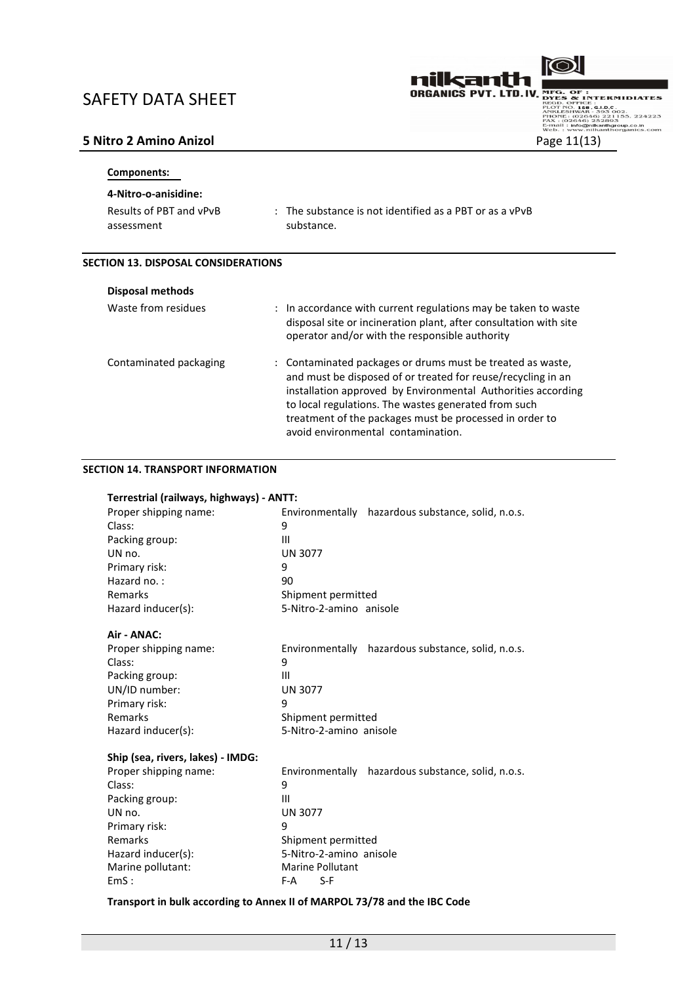

| Components:                           |                                                                                  |
|---------------------------------------|----------------------------------------------------------------------------------|
| 4-Nitro-o-anisidine:                  |                                                                                  |
| Results of PBT and vPvB<br>assessment | $\therefore$ The substance is not identified as a PBT or as a vPvB<br>substance. |

### SECTION 13. DISPOSAL CONSIDERATIONS

| <b>Disposal methods</b> |                                                                                                                                                                                                                                                                                                                                                     |
|-------------------------|-----------------------------------------------------------------------------------------------------------------------------------------------------------------------------------------------------------------------------------------------------------------------------------------------------------------------------------------------------|
| Waste from residues     | : In accordance with current regulations may be taken to waste<br>disposal site or incineration plant, after consultation with site<br>operator and/or with the responsible authority                                                                                                                                                               |
| Contaminated packaging  | : Contaminated packages or drums must be treated as waste,<br>and must be disposed of or treated for reuse/recycling in an<br>installation approved by Environmental Authorities according<br>to local regulations. The wastes generated from such<br>treatment of the packages must be processed in order to<br>avoid environmental contamination. |

### SECTION 14. TRANSPORT INFORMATION

| Terrestrial (railways, highways) - ANTT: |                                                    |  |
|------------------------------------------|----------------------------------------------------|--|
| Proper shipping name:                    | Environmentally hazardous substance, solid, n.o.s. |  |
| Class:                                   | 9                                                  |  |
| Packing group:                           | Ш                                                  |  |
| UN no.                                   | <b>UN 3077</b>                                     |  |
| Primary risk:                            | 9                                                  |  |
| Hazard no.:                              | 90                                                 |  |
| Remarks                                  | Shipment permitted                                 |  |
| Hazard inducer(s):                       | 5-Nitro-2-amino anisole                            |  |
| Air - ANAC:                              |                                                    |  |
| Proper shipping name:                    | Environmentally hazardous substance, solid, n.o.s. |  |
| Class:                                   | 9                                                  |  |
| Packing group:                           | Ш                                                  |  |
| UN/ID number:                            | <b>UN 3077</b>                                     |  |
| Primary risk:                            | 9                                                  |  |
| Remarks                                  | Shipment permitted                                 |  |
| Hazard inducer(s):                       | 5-Nitro-2-amino anisole                            |  |
| Ship (sea, rivers, lakes) - IMDG:        |                                                    |  |
| Proper shipping name:                    | Environmentally hazardous substance, solid, n.o.s. |  |
| Class:                                   | 9                                                  |  |
| Packing group:                           | Ш                                                  |  |
| UN no.                                   | <b>UN 3077</b>                                     |  |
| Primary risk:                            | 9                                                  |  |
| Remarks                                  | Shipment permitted                                 |  |
| Hazard inducer(s):                       | 5-Nitro-2-amino anisole                            |  |
| Marine pollutant:                        | Marine Pollutant                                   |  |
| EmS:                                     | $S-F$<br>F-A                                       |  |

## Transport in bulk according to Annex II of MARPOL 73/78 and the IBC Code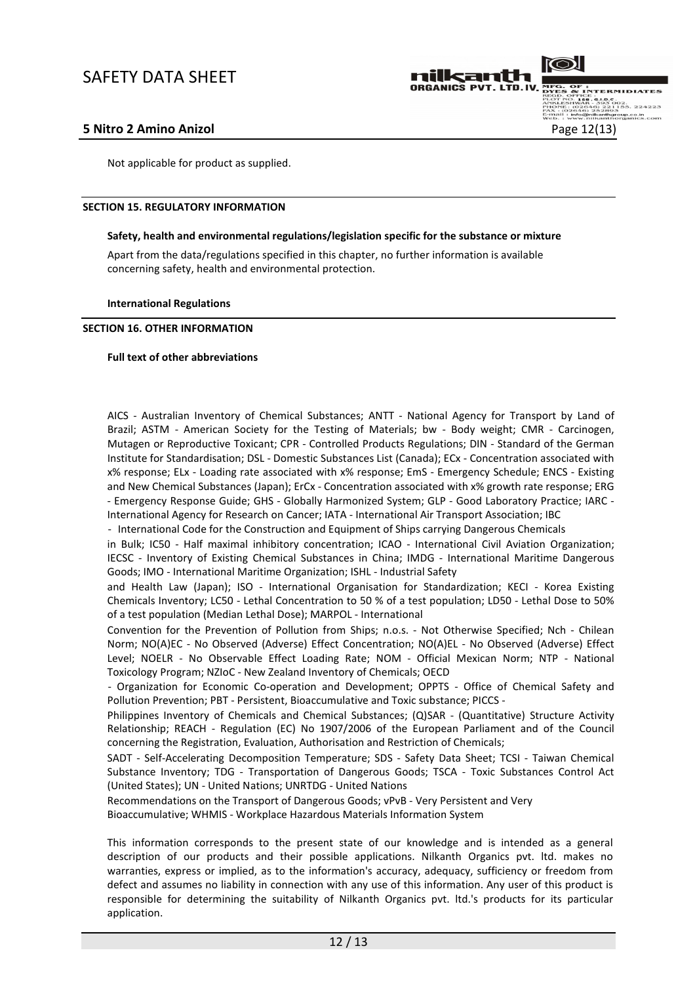

Not applicable for product as supplied.

### SECTION 15. REGULATORY INFORMATION

### Safety, health and environmental regulations/legislation specific for the substance or mixture

Apart from the data/regulations specified in this chapter, no further information is available concerning safety, health and environmental protection.

### International Regulations

### SECTION 16. OTHER INFORMATION

### Full text of other abbreviations

AICS - Australian Inventory of Chemical Substances; ANTT - National Agency for Transport by Land of Brazil; ASTM - American Society for the Testing of Materials; bw - Body weight; CMR - Carcinogen, Mutagen or Reproductive Toxicant; CPR - Controlled Products Regulations; DIN - Standard of the German Institute for Standardisation; DSL - Domestic Substances List (Canada); ECx - Concentration associated with x% response; ELx - Loading rate associated with x% response; EmS - Emergency Schedule; ENCS - Existing and New Chemical Substances (Japan); ErCx - Concentration associated with x% growth rate response; ERG - Emergency Response Guide; GHS - Globally Harmonized System; GLP - Good Laboratory Practice; IARC - International Agency for Research on Cancer; IATA - International Air Transport Association; IBC

- International Code for the Construction and Equipment of Ships carrying Dangerous Chemicals

in Bulk; IC50 - Half maximal inhibitory concentration; ICAO - International Civil Aviation Organization; IECSC - Inventory of Existing Chemical Substances in China; IMDG - International Maritime Dangerous Goods; IMO - International Maritime Organization; ISHL - Industrial Safety

and Health Law (Japan); ISO - International Organisation for Standardization; KECI - Korea Existing Chemicals Inventory; LC50 - Lethal Concentration to 50 % of a test population; LD50 - Lethal Dose to 50% of a test population (Median Lethal Dose); MARPOL - International

Convention for the Prevention of Pollution from Ships; n.o.s. - Not Otherwise Specified; Nch - Chilean Norm; NO(A)EC - No Observed (Adverse) Effect Concentration; NO(A)EL - No Observed (Adverse) Effect Level; NOELR - No Observable Effect Loading Rate; NOM - Official Mexican Norm; NTP - National Toxicology Program; NZIoC - New Zealand Inventory of Chemicals; OECD

- Organization for Economic Co-operation and Development; OPPTS - Office of Chemical Safety and Pollution Prevention; PBT - Persistent, Bioaccumulative and Toxic substance; PICCS -

Philippines Inventory of Chemicals and Chemical Substances; (Q)SAR - (Quantitative) Structure Activity Relationship; REACH - Regulation (EC) No 1907/2006 of the European Parliament and of the Council concerning the Registration, Evaluation, Authorisation and Restriction of Chemicals;

SADT - Self-Accelerating Decomposition Temperature; SDS - Safety Data Sheet; TCSI - Taiwan Chemical Substance Inventory; TDG - Transportation of Dangerous Goods; TSCA - Toxic Substances Control Act (United States); UN - United Nations; UNRTDG - United Nations

Recommendations on the Transport of Dangerous Goods; vPvB - Very Persistent and Very Bioaccumulative; WHMIS - Workplace Hazardous Materials Information System

This information corresponds to the present state of our knowledge and is intended as a general description of our products and their possible applications. Nilkanth Organics pvt. ltd. makes no warranties, express or implied, as to the information's accuracy, adequacy, sufficiency or freedom from defect and assumes no liability in connection with any use of this information. Any user of this product is responsible for determining the suitability of Nilkanth Organics pvt. ltd.'s products for its particular application.